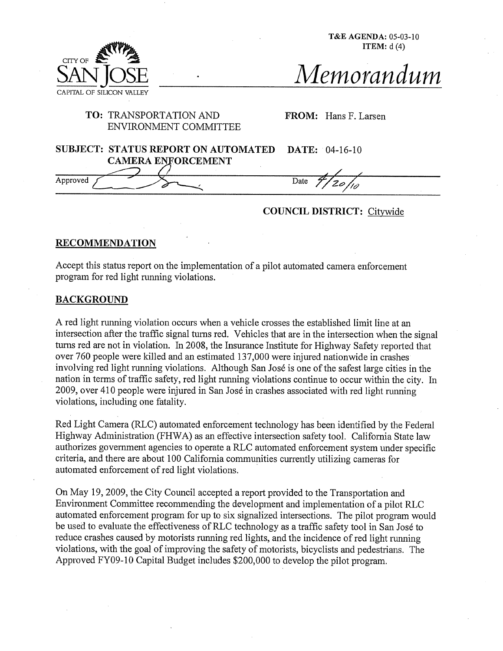T&E AGENDA: 05-03-10 **ITEM:** d (4)



# **TO:** TRANSPORTATION AND ENVIRONMENT COMMITTEE

FROM: Hans F. Larsen

| <b>SUBJECT: STATUS REPORT ON AUTOMATED</b> | <b>DATE:</b> 04-16-10 |
|--------------------------------------------|-----------------------|
| <b>CAMERA ENFORCEMENT</b>                  |                       |
|                                            |                       |
| Approved                                   | Date                  |

COUNCIL DISTRICT: Citywide

## **RECOMMENDATION**

Accept this status report on the implementation of a pilot automated camera enforcement program for red light running violations.

## BACKGROUND

CITY OF

**SAN JOSE**

CAPITAL OF SILICON

A red light running violation occurs when a vehicle crosses the established limit line at an intersection after the traffic signal turns red. Vehicles that are in the intersection when the signal turns red are not in violation. In 2008, the Insurance Institute for Highway Safety reported that over 760 people were killed and an estimated 137,000 were injured nationwide in crashes involving red light running violations. Although San José is one of the safest large cities in the nation in terms of traffic safety, red light running violations continue to occur within the city. In 2009, over 410 people were injured in San José in crashes associated with red light running violations, including one fatality.

Red Light Camera (RLC) automated enforcement technology has been identified by the Federal Highway Administration (FHWA) as an effective intersection safety tool. California State law authorizes government agencies to operate a RLC automated enforcement system under specific criteria, mad there are about 100 California communities currently utilizing cameras for automated enforcement of red light violations.

On May 19, 2009, the City Council accepted a report provided to the Transportation and Environment Committee recommending the development and implementation of a pilot RLC automated enforcement program for up to six signalized intersections. The pilot program would be used to evaluate the effectiveness of RLC technology as a traffic safety tool in San José to reduce crashes caused by motorists running red lights, and the incidence of red light running violations, with the goal of improving the safety of motorists, bicyclists and pedestrians. The Approved FY09-10 Capital Budget includes \$200,000 to develop the pilot program.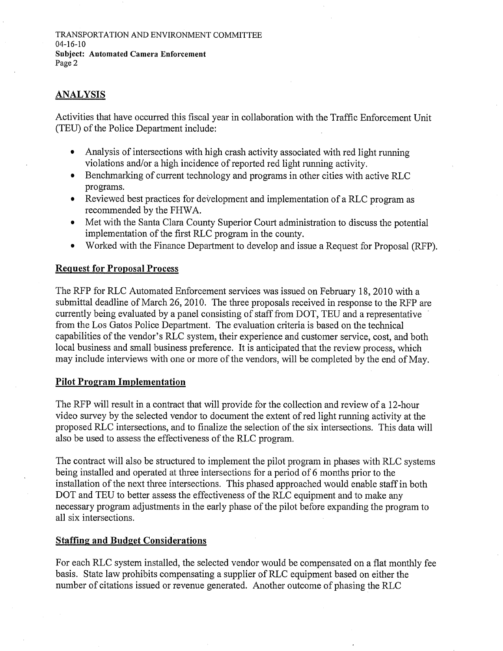# ANALYSIS

Activities that have occurred this fiscal year in collaboration with the Traffic Enforcement Unit (TEU) of the Police Department include:

- Analysis of intersections with high crash activity associated with red light running  $\bullet$ violations and/or a high incidence of reported red light running activity.
- Benchmarking of current technology and programs in other cities with active RLC  $\bullet$ programs.
- Reviewed best practices for development and implementation of a RLC program as  $\bullet$ recommended by the FHWA.
- Met with the Santa Clara County Superior Court administration to discuss the potential  $\bullet$ implementation of the first RLC program in the county.
- Worked with the Finance Department to develop and issue a Request for Proposal (RFP).  $\bullet$

#### **Request for Proposal Process**

The RFP for RLC Automated Enforcement services was issued on February 18, 2010 with a submittal deadline of March 26, 2010. The three proposals received in response to the RFP are currently being evaluated by a panel consisting of staff from DOT, TEU and a representative from the Los Gatos Police Department. The evaluation criteria is based on the teclmical capabilities of the vendor's RLC system, their experience and customer service, cost, and both local business and small business preference. It is anticipated that the review process, which may include interviews with one or more of the vendors, will be completed by the end of May.

## **Pilot Program Implementation**

The RFP will result in a contract that will provide for the collection and review of a 12-hour video survey by the selected vendor to document the extem of red light running activity at the proposed RLC intersections, mad to finalize the selection of the six intersections. This data will also be used to assess the effectiveness of the RLC program.

The contract will also be structured to implement the pilot program in phases with RLC systems being installed and operated at three intersections for a period of 6 months prior to the installation of the next three intersections. This phased approached would enable staff in both DOT and TEU to better assess the effectiveness of the RLC equipment and to make any necessary program adjustments in the early phase of the pilot before expanding the program to all six intersections.

#### **Staffing and Budget Considerations**

For each RLC system installed, the selected vendor would be compensated on a flat monthly fee basis. State law prohibits compensating a supplier of RLC equipment based on either the number of citations issued or revenue generated. Another outcome of phasing the RLC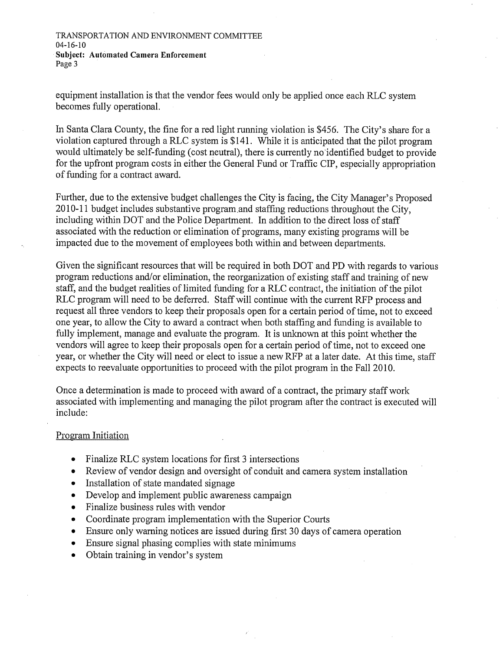TRANSPORTATION AND ENVIRONMENT COMMITTEE 04-16-10 Subject: Automated Camera Enforcement Page 3

equipment installation is that the vendor fees would only be applied once each RLC system becomes fully operational.

In Santa Clara County, the fine for a red light running violation is \$456. The City's share for a violation captured through a RLC system is \$141. While it is anticipated that the pilot program would ultimately be self-funding (cost neutral), there is currently no'identified budget to provide for the upfront program costs in either the General Fund or Traffic CIP, especially appropriation of funding for a contract award.

Further, due to the extensive budget challenges the City is facing, the City Manager's Proposed 2010-11 budget includes substantive program.and staffing reductions throughout the City, including within DOT and the Police Department. In addition to the direct loss of staff associated with the reduction or elimination of programs, many existing programs will be impacted due to the movement of employees both within and between departments.

Given the significant resources that will be required in both DOT mad PD with regards to various program reductions and/or elimination, the reorganization of existing staff and training of new staff, and the budget realities of limited funding for a RLC contract, the initiation of the pilot RLC program will need to be deferred. Staff will continue with the current RFP process and request all three vendors to keep their proposals open for a certain period of time, not to exceed one year, to allow the City to award a contract when both staffing and funding is available to fully implement, manage and evaluate the program. It is unknown at this point whether the vendors will agree to keep their proposals open for a certain period of time, not to exceed one year, or whether the City will need or elect to issue a new RFP at a later date. At this time, staff expects to reevaluate opportunities to proceed with the pilot program in the Fall 2010.

Once a determination is made to proceed with award of a contract, the primary staff work associated with implementing and managing the pilot program after the contract is executed will include:

#### Program Initiation

- Finalize RLC system locations for first 3 intersections
- Review of vendor design and oversight of conduit and camera system installation
- Installation of state mandated signage  $\bullet$
- Develop and implement public awareness campaign
- Finalize business rules with vendor  $\bullet$
- Coordinate program implementation with the Superior Courts  $\bullet$
- Ensure only warning notices are issued during first 30 days of camera operation
- Ensure signal phasing complies with state minimums
- Obtain training in vendor's system